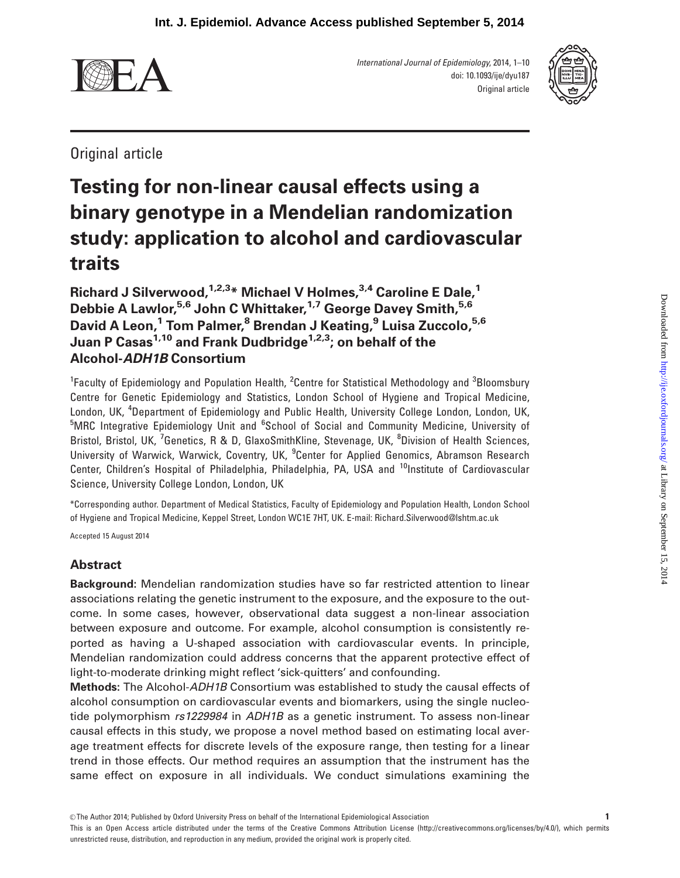

International Journal of Epidemiology, 2014, 1–10 doi: 10.1093/ije/dyu187 Original article



Original article

# Testing for non-linear causal effects using a binary genotype in a Mendelian randomization study: application to alcohol and cardiovascular traits

Richard J Silverwood,  $1,2,3*$  Michael V Holmes,  $3,4$  Caroline E Dale,  $1$ Debbie A Lawlor,<sup>5,6</sup> John C Whittaker,<sup>1,7</sup> George Davey Smith,<sup>5,6</sup> David A Leon,<sup>1</sup> Tom Palmer,<sup>8</sup> Brendan J Keating,<sup>9</sup> Luisa Zuccolo,<sup>5,6</sup> Juan P Casas<sup>1,10</sup> and Frank Dudbridge<sup>1,2,3</sup>; on behalf of the Alcohol-ADH1B Consortium

<sup>1</sup>Faculty of Epidemiology and Population Health, <sup>2</sup>Centre for Statistical Methodology and <sup>3</sup>Bloomsbury Centre for Genetic Epidemiology and Statistics, London School of Hygiene and Tropical Medicine, London, UK, <sup>4</sup>Department of Epidemiology and Public Health, University College London, London, UK, <sup>5</sup>MRC Integrative Epidemiology Unit and <sup>6</sup>School of Social and Community Medicine, University of Bristol, Bristol, UK, <sup>7</sup>Genetics, R & D, GlaxoSmithKline, Stevenage, UK, <sup>8</sup>Division of Health Sciences, University of Warwick, Warwick, Coventry, UK, <sup>9</sup>Center for Applied Genomics, Abramson Research Center, Children's Hospital of Philadelphia, Philadelphia, PA, USA and <sup>10</sup>Institute of Cardiovascular Science, University College London, London, UK

\*Corresponding author. Department of Medical Statistics, Faculty of Epidemiology and Population Health, London School of Hygiene and Tropical Medicine, Keppel Street, London WC1E 7HT, UK. E-mail: Richard.Silverwood@lshtm.ac.uk

Accepted 15 August 2014

# **Abstract**

Background: Mendelian randomization studies have so far restricted attention to linear associations relating the genetic instrument to the exposure, and the exposure to the outcome. In some cases, however, observational data suggest a non-linear association between exposure and outcome. For example, alcohol consumption is consistently reported as having a U-shaped association with cardiovascular events. In principle, Mendelian randomization could address concerns that the apparent protective effect of light-to-moderate drinking might reflect 'sick-quitters' and confounding.

Methods: The Alcohol-ADH1B Consortium was established to study the causal effects of alcohol consumption on cardiovascular events and biomarkers, using the single nucleotide polymorphism *rs1229984* in *ADH1B* as a genetic instrument. To assess non-linear causal effects in this study, we propose a novel method based on estimating local average treatment effects for discrete levels of the exposure range, then testing for a linear trend in those effects. Our method requires an assumption that the instrument has the same effect on exposure in all individuals. We conduct simulations examining the

 $©$  The Author 2014; Published by Oxford University Press on behalf of the International Epidemiological Association

This is an Open Access article distributed under the terms of the Creative Commons Attribution License (http://creativecommons.org/licenses/by/4.0/), which permits unrestricted reuse, distribution, and reproduction in any medium, provided the original work is properly cited.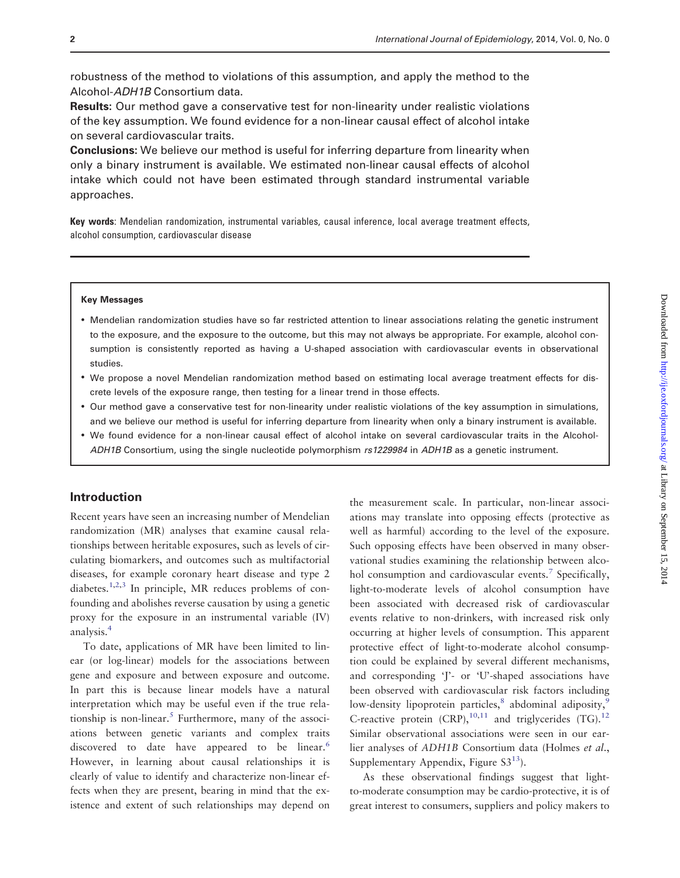robustness of the method to violations of this assumption, and apply the method to the Alcohol-ADH1B Consortium data.

Results: Our method gave a conservative test for non-linearity under realistic violations of the key assumption. We found evidence for a non-linear causal effect of alcohol intake on several cardiovascular traits.

Conclusions: We believe our method is useful for inferring departure from linearity when only a binary instrument is available. We estimated non-linear causal effects of alcohol intake which could not have been estimated through standard instrumental variable approaches.

Key words: Mendelian randomization, instrumental variables, causal inference, local average treatment effects, alcohol consumption, cardiovascular disease

#### Key Messages

- Mendelian randomization studies have so far restricted attention to linear associations relating the genetic instrument to the exposure, and the exposure to the outcome, but this may not always be appropriate. For example, alcohol consumption is consistently reported as having a U-shaped association with cardiovascular events in observational studies.
- We propose a novel Mendelian randomization method based on estimating local average treatment effects for discrete levels of the exposure range, then testing for a linear trend in those effects.
- Our method gave a conservative test for non-linearity under realistic violations of the key assumption in simulations, and we believe our method is useful for inferring departure from linearity when only a binary instrument is available.
- We found evidence for a non-linear causal effect of alcohol intake on several cardiovascular traits in the Alcohol-ADH1B Consortium, using the single nucleotide polymorphism rs1229984 in ADH1B as a genetic instrument.

#### Introduction

Recent years have seen an increasing number of Mendelian randomization (MR) analyses that examine causal relationships between heritable exposures, such as levels of circulating biomarkers, and outcomes such as multifactorial diseases, for example coronary heart disease and type 2 diabetes.<sup>1,2,3</sup> In principle, MR reduces problems of confounding and abolishes reverse causation by using a genetic proxy for the exposure in an instrumental variable (IV) analysis[.4](#page-9-0)

To date, applications of MR have been limited to linear (or log-linear) models for the associations between gene and exposure and between exposure and outcome. In part this is because linear models have a natural interpretation which may be useful even if the true rela-tionship is non-linear.<sup>[5](#page-9-0)</sup> Furthermore, many of the associations between genetic variants and complex traits discovered to date have appeared to be linear.<sup>[6](#page-9-0)</sup> However, in learning about causal relationships it is clearly of value to identify and characterize non-linear effects when they are present, bearing in mind that the existence and extent of such relationships may depend on

the measurement scale. In particular, non-linear associations may translate into opposing effects (protective as well as harmful) according to the level of the exposure. Such opposing effects have been observed in many observational studies examining the relationship between alcohol consumption and cardiovascular events.<sup>7</sup> Specifically, light-to-moderate levels of alcohol consumption have been associated with decreased risk of cardiovascular events relative to non-drinkers, with increased risk only occurring at higher levels of consumption. This apparent protective effect of light-to-moderate alcohol consumption could be explained by several different mechanisms, and corresponding 'J'- or 'U'-shaped associations have been observed with cardiovascular risk factors including low-density lipoprotein particles, $\frac{8}{3}$  $\frac{8}{3}$  $\frac{8}{3}$  abdominal adiposity, $\frac{9}{3}$ C-reactive protein  $(CRP)$ , <sup>[10,11](#page-9-0)</sup> and triglycerides  $(TG)$ .<sup>12</sup> Similar observational associations were seen in our earlier analyses of ADH1B Consortium data (Holmes et al., Supplementary Appendix, Figure  $S3<sup>13</sup>$ ).

As these observational findings suggest that lightto-moderate consumption may be cardio-protective, it is of great interest to consumers, suppliers and policy makers to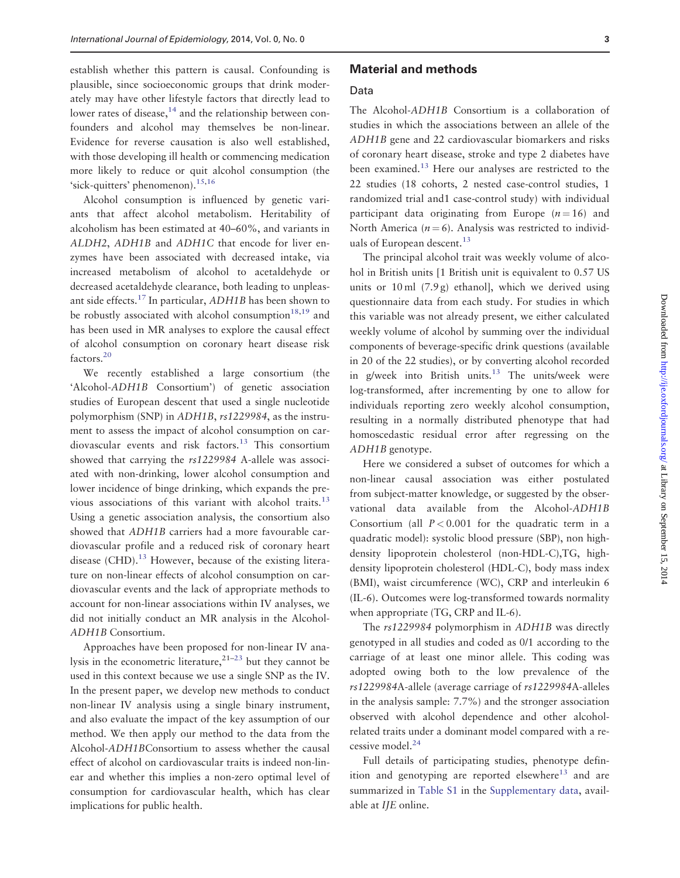establish whether this pattern is causal. Confounding is plausible, since socioeconomic groups that drink moderately may have other lifestyle factors that directly lead to lower rates of disease, $^{14}$  $^{14}$  $^{14}$  and the relationship between confounders and alcohol may themselves be non-linear. Evidence for reverse causation is also well established, with those developing ill health or commencing medication more likely to reduce or quit alcohol consumption (the 'sick-quitters' phenomenon).[15,16](#page-9-0)

Alcohol consumption is influenced by genetic variants that affect alcohol metabolism. Heritability of alcoholism has been estimated at 40–60%, and variants in ALDH2, ADH1B and ADH1C that encode for liver enzymes have been associated with decreased intake, via increased metabolism of alcohol to acetaldehyde or decreased acetaldehyde clearance, both leading to unpleasant side effects.[17](#page-9-0) In particular, ADH1B has been shown to be robustly associated with alcohol consumption $18,19$  and has been used in MR analyses to explore the causal effect of alcohol consumption on coronary heart disease risk factors.[20](#page-9-0)

We recently established a large consortium (the 'Alcohol-ADH1B Consortium') of genetic association studies of European descent that used a single nucleotide polymorphism (SNP) in ADH1B, rs1229984, as the instrument to assess the impact of alcohol consumption on car-diovascular events and risk factors.<sup>[13](#page-9-0)</sup> This consortium showed that carrying the rs1229984 A-allele was associated with non-drinking, lower alcohol consumption and lower incidence of binge drinking, which expands the previous associations of this variant with alcohol traits.<sup>13</sup> Using a genetic association analysis, the consortium also showed that ADH1B carriers had a more favourable cardiovascular profile and a reduced risk of coronary heart disease (CHD). $^{13}$  $^{13}$  $^{13}$  However, because of the existing literature on non-linear effects of alcohol consumption on cardiovascular events and the lack of appropriate methods to account for non-linear associations within IV analyses, we did not initially conduct an MR analysis in the Alcohol-ADH1B Consortium.

Approaches have been proposed for non-linear IV analysis in the econometric literature, $2^{1-23}$  $2^{1-23}$  $2^{1-23}$  but they cannot be used in this context because we use a single SNP as the IV. In the present paper, we develop new methods to conduct non-linear IV analysis using a single binary instrument, and also evaluate the impact of the key assumption of our method. We then apply our method to the data from the Alcohol-ADH1BConsortium to assess whether the causal effect of alcohol on cardiovascular traits is indeed non-linear and whether this implies a non-zero optimal level of consumption for cardiovascular health, which has clear implications for public health.

#### Material and methods

#### Data

The Alcohol-ADH1B Consortium is a collaboration of studies in which the associations between an allele of the ADH1B gene and 22 cardiovascular biomarkers and risks of coronary heart disease, stroke and type 2 diabetes have been examined.[13](#page-9-0) Here our analyses are restricted to the 22 studies (18 cohorts, 2 nested case-control studies, 1 randomized trial and1 case-control study) with individual participant data originating from Europe  $(n=16)$  and North America ( $n = 6$ ). Analysis was restricted to individ-uals of European descent.<sup>[13](#page-9-0)</sup>

The principal alcohol trait was weekly volume of alcohol in British units [1 British unit is equivalent to 0.57 US units or 10 ml (7.9 g) ethanol], which we derived using questionnaire data from each study. For studies in which this variable was not already present, we either calculated weekly volume of alcohol by summing over the individual components of beverage-specific drink questions (available in 20 of the 22 studies), or by converting alcohol recorded in g/week into British units. $13$  The units/week were log-transformed, after incrementing by one to allow for individuals reporting zero weekly alcohol consumption, resulting in a normally distributed phenotype that had homoscedastic residual error after regressing on the ADH1B genotype.

Here we considered a subset of outcomes for which a non-linear causal association was either postulated from subject-matter knowledge, or suggested by the observational data available from the Alcohol-ADH1B Consortium (all  $P < 0.001$  for the quadratic term in a quadratic model): systolic blood pressure (SBP), non highdensity lipoprotein cholesterol (non-HDL-C),TG, highdensity lipoprotein cholesterol (HDL-C), body mass index (BMI), waist circumference (WC), CRP and interleukin 6 (IL-6). Outcomes were log-transformed towards normality when appropriate (TG, CRP and IL-6).

The rs1229984 polymorphism in ADH1B was directly genotyped in all studies and coded as 0/1 according to the carriage of at least one minor allele. This coding was adopted owing both to the low prevalence of the rs1229984A-allele (average carriage of rs1229984A-alleles in the analysis sample: 7.7%) and the stronger association observed with alcohol dependence and other alcoholrelated traits under a dominant model compared with a recessive model.<sup>24</sup>

Full details of participating studies, phenotype definition and genotyping are reported elsewhere $^{13}$  $^{13}$  $^{13}$  and are summarized in [Table S1](http://ije.oxfordjournals.org/lookup/suppl/doi:10.1093/ije/dyu187/-/DC1) in the [Supplementary data](http://ije.oxfordjournals.org/lookup/suppl/doi:10.1093/ije/dyu187/-/DC1), available at IJE online.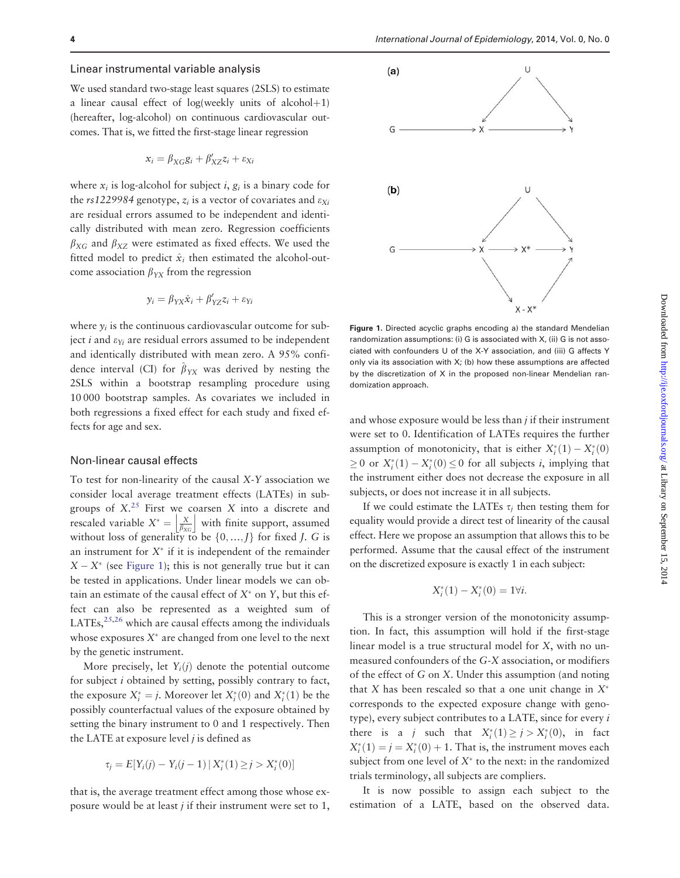#### Linear instrumental variable analysis

We used standard two-stage least squares (2SLS) to estimate a linear causal effect of  $log($ weekly units of alcohol+1) (hereafter, log-alcohol) on continuous cardiovascular outcomes. That is, we fitted the first-stage linear regression

$$
x_i = \beta_{XG} g_i + \beta'_{XZ} z_i + \varepsilon_{Xi}
$$

where  $x_i$  is log-alcohol for subject *i*,  $g_i$  is a binary code for the rs1229984 genotype,  $z_i$  is a vector of covariates and  $\varepsilon_{Xi}$ are residual errors assumed to be independent and identically distributed with mean zero. Regression coefficients  $\beta_{XG}$  and  $\beta_{XZ}$  were estimated as fixed effects. We used the fitted model to predict  $\hat{x}_i$  then estimated the alcohol-outcome association  $\beta_{YX}$  from the regression

$$
y_i = \beta_{YX}\hat{x}_i + \beta'_{YZ}z_i + \varepsilon_{Yi}
$$

where  $y_i$  is the continuous cardiovascular outcome for subject  $i$  and  $\varepsilon_{Yi}$  are residual errors assumed to be independent and identically distributed with mean zero. A 95% confidence interval (CI) for  $\hat{\beta}_{YX}$  was derived by nesting the 2SLS within a bootstrap resampling procedure using 10 000 bootstrap samples. As covariates we included in both regressions a fixed effect for each study and fixed effects for age and sex.

#### Non-linear causal effects

To test for non-linearity of the causal X-Y association we consider local average treatment effects (LATEs) in subgroups of  $X<sup>25</sup>$  $X<sup>25</sup>$  $X<sup>25</sup>$  First we coarsen X into a discrete and rescaled variable  $X^* = \left| \frac{X}{\beta_{XG}} \right|$  with finite support, assumed without loss of generality to be  $\{0, ..., J\}$  for fixed *J*. *G* is an instrument for  $X^*$  if it is independent of the remainder  $X - X^*$  (see Figure 1); this is not generally true but it can be tested in applications. Under linear models we can obtain an estimate of the causal effect of  $X^*$  on  $Y$ , but this effect can also be represented as a weighted sum of LATEs, $25,26$  which are causal effects among the individuals whose exposures  $X^*$  are changed from one level to the next by the genetic instrument.

More precisely, let  $Y_i(j)$  denote the potential outcome for subject i obtained by setting, possibly contrary to fact, the exposure  $X_i^* = j$ . Moreover let  $X_i^*(0)$  and  $X_i^*(1)$  be the possibly counterfactual values of the exposure obtained by setting the binary instrument to 0 and 1 respectively. Then the LATE at exposure level  $j$  is defined as

$$
\tau_j = E[Y_i(j) - Y_i(j-1) | X_i^*(1) \ge j > X_i^*(0)]
$$

that is, the average treatment effect among those whose exposure would be at least  $j$  if their instrument were set to 1,



Figure 1. Directed acyclic graphs encoding a) the standard Mendelian randomization assumptions: (i) G is associated with X, (ii) G is not associated with confounders U of the X-Y association, and (iii) G affects Y only via its association with  $X$ ; (b) how these assumptions are affected by the discretization of X in the proposed non-linear Mendelian randomization approach.

and whose exposure would be less than  $j$  if their instrument were set to 0. Identification of LATEs requires the further assumption of monotonicity, that is either  $X_i^*(1) - X_i^*(0)$  $\geq 0$  or  $X_i^*(1) - X_i^*(0) \leq 0$  for all subjects *i*, implying that the instrument either does not decrease the exposure in all subjects, or does not increase it in all subjects.

If we could estimate the LATEs  $\tau_i$  then testing them for equality would provide a direct test of linearity of the causal effect. Here we propose an assumption that allows this to be performed. Assume that the causal effect of the instrument on the discretized exposure is exactly 1 in each subject:

$$
X_i^*(1) - X_i^*(0) = 1 \forall i.
$$

This is a stronger version of the monotonicity assumption. In fact, this assumption will hold if the first-stage linear model is a true structural model for X, with no unmeasured confounders of the G-X association, or modifiers of the effect of G on X. Under this assumption (and noting that  $X$  has been rescaled so that a one unit change in  $X^*$ corresponds to the expected exposure change with genotype), every subject contributes to a LATE, since for every i there is a *j* such that  $X_i^*(1) \ge j > X_i^*(0)$ , in fact  $X_i^*(1) = j = X_i^*(0) + 1$ . That is, the instrument moves each subject from one level of  $X^*$  to the next: in the randomized trials terminology, all subjects are compliers.

It is now possible to assign each subject to the estimation of a LATE, based on the observed data.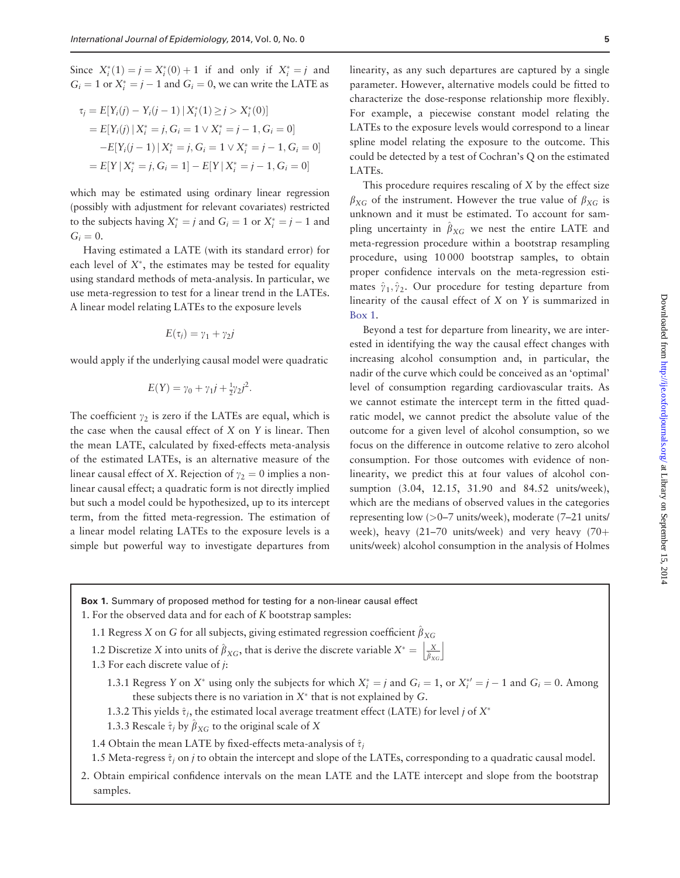<span id="page-4-0"></span>Since  $X_i^*(1) = j = X_i^*(0) + 1$  if and only if  $X_i^* = j$  and  $G_i = 1$  or  $X_i^* = j - 1$  and  $G_i = 0$ , we can write the LATE as

$$
\tau_j = E[Y_i(j) - Y_i(j-1) | X_i^*(1) \ge j > X_i^*(0)]
$$
\n
$$
= E[Y_i(j) | X_i^* = j, G_i = 1 \lor X_i^* = j - 1, G_i = 0]
$$
\n
$$
-E[Y_i(j-1) | X_i^* = j, G_i = 1 \lor X_i^* = j - 1, G_i = 0]
$$
\n
$$
= E[Y | X_i^* = j, G_i = 1] - E[Y | X_i^* = j - 1, G_i = 0]
$$

which may be estimated using ordinary linear regression (possibly with adjustment for relevant covariates) restricted to the subjects having  $X_i^* = j$  and  $G_i = 1$  or  $X_i^* = j - 1$  and  $G_i = 0.$ 

Having estimated a LATE (with its standard error) for each level of  $X^*$ , the estimates may be tested for equality using standard methods of meta-analysis. In particular, we use meta-regression to test for a linear trend in the LATEs. A linear model relating LATEs to the exposure levels

$$
E(\tau_j) = \gamma_1 + \gamma_2 j
$$

would apply if the underlying causal model were quadratic

$$
E(Y) = \gamma_0 + \gamma_1 j + \frac{1}{2} \gamma_2 j^2.
$$

The coefficient  $\gamma_2$  is zero if the LATEs are equal, which is the case when the causal effect of  $X$  on  $Y$  is linear. Then the mean LATE, calculated by fixed-effects meta-analysis of the estimated LATEs, is an alternative measure of the linear causal effect of X. Rejection of  $\gamma_2 = 0$  implies a nonlinear causal effect; a quadratic form is not directly implied but such a model could be hypothesized, up to its intercept term, from the fitted meta-regression. The estimation of a linear model relating LATEs to the exposure levels is a simple but powerful way to investigate departures from

parameter. However, alternative models could be fitted to characterize the dose-response relationship more flexibly. For example, a piecewise constant model relating the LATEs to the exposure levels would correspond to a linear spline model relating the exposure to the outcome. This could be detected by a test of Cochran's Q on the estimated LATEs.

This procedure requires rescaling of  $X$  by the effect size  $\beta_{XG}$  of the instrument. However the true value of  $\beta_{XG}$  is unknown and it must be estimated. To account for sampling uncertainty in  $\hat{\beta}_{XG}$  we nest the entire LATE and meta-regression procedure within a bootstrap resampling procedure, using 10 000 bootstrap samples, to obtain proper confidence intervals on the meta-regression estimates  $\hat{\gamma}_1, \hat{\gamma}_2$ . Our procedure for testing departure from linearity of the causal effect of X on Y is summarized in Box 1.

Beyond a test for departure from linearity, we are interested in identifying the way the causal effect changes with increasing alcohol consumption and, in particular, the nadir of the curve which could be conceived as an 'optimal' level of consumption regarding cardiovascular traits. As we cannot estimate the intercept term in the fitted quadratic model, we cannot predict the absolute value of the outcome for a given level of alcohol consumption, so we focus on the difference in outcome relative to zero alcohol consumption. For those outcomes with evidence of nonlinearity, we predict this at four values of alcohol consumption (3.04, 12.15, 31.90 and 84.52 units/week), which are the medians of observed values in the categories representing low (>0–7 units/week), moderate (7–21 units/ week), heavy (21–70 units/week) and very heavy (70+ units/week) alcohol consumption in the analysis of Holmes

Box 1. Summary of proposed method for testing for a non-linear causal effect

- 1. For the observed data and for each of K bootstrap samples:
	- 1.1 Regress X on G for all subjects, giving estimated regression coefficient  $\hat{\beta}_{XG}$
	- 1.2 Discretize X into units of  $\hat{\beta}_{XG}$ , that is derive the discrete variable  $X^* = \begin{bmatrix} X & X \ \hline X & X \end{bmatrix}$
	- 1.3 For each discrete value of j:
		- 1.3.1 Regress Y on  $X^*$  using only the subjects for which  $X_i^* = j$  and  $G_i = 1$ , or  $X_i^{*'} = j 1$  and  $G_i = 0$ . Among these subjects there is no variation in  $X^*$  that is not explained by  $G$ .
		- 1.3.2 This yields  $\hat{\tau}_j$ , the estimated local average treatment effect (LATE) for level j of  $X^*$
		- 1.3.3 Rescale  $\hat{\tau}_j$  by  $\hat{\beta}_{XG}$  to the original scale of X
	- 1.4 Obtain the mean LATE by fixed-effects meta-analysis of  $\hat{\tau}_i$

1.5 Meta-regress  $\hat{\tau}_i$  on j to obtain the intercept and slope of the LATEs, corresponding to a quadratic causal model.

2. Obtain empirical confidence intervals on the mean LATE and the LATE intercept and slope from the bootstrap samples.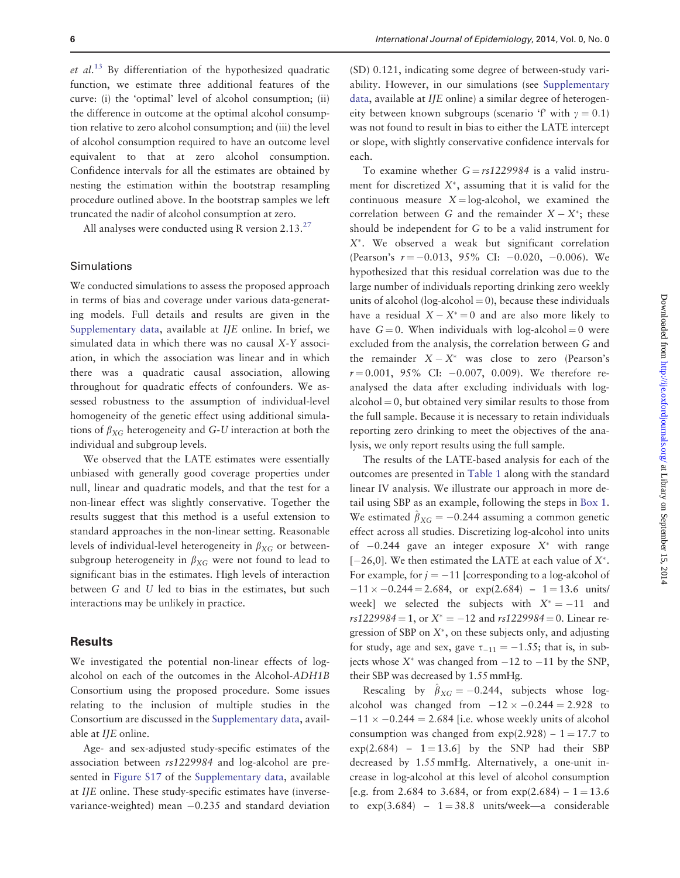et al.<sup>[13](#page-9-0)</sup> By differentiation of the hypothesized quadratic function, we estimate three additional features of the curve: (i) the 'optimal' level of alcohol consumption; (ii) the difference in outcome at the optimal alcohol consumption relative to zero alcohol consumption; and (iii) the level of alcohol consumption required to have an outcome level equivalent to that at zero alcohol consumption. Confidence intervals for all the estimates are obtained by nesting the estimation within the bootstrap resampling procedure outlined above. In the bootstrap samples we left truncated the nadir of alcohol consumption at zero.

All analyses were conducted using R version  $2.13^{27}$  $2.13^{27}$  $2.13^{27}$ 

#### Simulations

We conducted simulations to assess the proposed approach in terms of bias and coverage under various data-generating models. Full details and results are given in the [Supplementary data,](http://ije.oxfordjournals.org/lookup/suppl/doi:10.1093/ije/dyu187/-/DC1) available at IJE online. In brief, we simulated data in which there was no causal X-Y association, in which the association was linear and in which there was a quadratic causal association, allowing throughout for quadratic effects of confounders. We assessed robustness to the assumption of individual-level homogeneity of the genetic effect using additional simulations of  $\beta_{XG}$  heterogeneity and G-U interaction at both the individual and subgroup levels.

We observed that the LATE estimates were essentially unbiased with generally good coverage properties under null, linear and quadratic models, and that the test for a non-linear effect was slightly conservative. Together the results suggest that this method is a useful extension to standard approaches in the non-linear setting. Reasonable levels of individual-level heterogeneity in  $\beta_{XG}$  or betweensubgroup heterogeneity in  $\beta_{XG}$  were not found to lead to significant bias in the estimates. High levels of interaction between G and U led to bias in the estimates, but such interactions may be unlikely in practice.

#### **Results**

We investigated the potential non-linear effects of logalcohol on each of the outcomes in the Alcohol-ADH1B Consortium using the proposed procedure. Some issues relating to the inclusion of multiple studies in the Consortium are discussed in the [Supplementary data](http://ije.oxfordjournals.org/lookup/suppl/doi:10.1093/ije/dyu187/-/DC1), available at IJE online.

Age- and sex-adjusted study-specific estimates of the association between rs1229984 and log-alcohol are presented in [Figure S17](http://ije.oxfordjournals.org/lookup/suppl/doi:10.1093/ije/dyu187/-/DC1) of the [Supplementary data,](http://ije.oxfordjournals.org/lookup/suppl/doi:10.1093/ije/dyu187/-/DC1) available at IJE online. These study-specific estimates have (inversevariance-weighted) mean  $-0.235$  and standard deviation

(SD) 0.121, indicating some degree of between-study variability. However, in our simulations (see [Supplementary](http://ije.oxfordjournals.org/lookup/suppl/doi:10.1093/ije/dyu187/-/DC1) [data,](http://ije.oxfordjournals.org/lookup/suppl/doi:10.1093/ije/dyu187/-/DC1) available at IJE online) a similar degree of heterogeneity between known subgroups (scenario 'f' with  $\gamma = 0.1$ ) was not found to result in bias to either the LATE intercept or slope, with slightly conservative confidence intervals for each.

To examine whether  $G = rs1229984$  is a valid instrument for discretized  $X^*$ , assuming that it is valid for the continuous measure  $X = log-alcohol$ , we examined the correlation between G and the remainder  $X - X^*$ ; these should be independent for G to be a valid instrument for X-. We observed a weak but significant correlation (Pearson's  $r = -0.013$ , 95% CI:  $-0.020$ ,  $-0.006$ ). We hypothesized that this residual correlation was due to the large number of individuals reporting drinking zero weekly units of alcohol (log-alcohol  $= 0$ ), because these individuals have a residual  $X - X^* = 0$  and are also more likely to have  $G = 0$ . When individuals with log-alcohol  $= 0$  were excluded from the analysis, the correlation between G and the remainder  $X - X^*$  was close to zero (Pearson's  $r = 0.001$ , 95% CI: -0.007, 0.009). We therefore reanalysed the data after excluding individuals with log $alcohol = 0$ , but obtained very similar results to those from the full sample. Because it is necessary to retain individuals reporting zero drinking to meet the objectives of the analysis, we only report results using the full sample.

The results of the LATE-based analysis for each of the outcomes are presented in [Table 1](#page-6-0) along with the standard linear IV analysis. We illustrate our approach in more detail using SBP as an example, following the steps in [Box 1.](#page-4-0) We estimated  $\beta_{XG} = -0.244$  assuming a common genetic effect across all studies. Discretizing log-alcohol into units of  $-0.244$  gave an integer exposure  $X^*$  with range [ $-26,0$ ]. We then estimated the LATE at each value of  $X^*$ . For example, for  $j = -11$  [corresponding to a log-alcohol of  $-11 \times -0.244 = 2.684$ , or exp(2.684) – 1 = 13.6 units/ week] we selected the subjects with  $X^* = -11$  and  $rs1229984 = 1$ , or  $X^* = -12$  and  $rs1229984 = 0$ . Linear regression of SBP on  $X^*$ , on these subjects only, and adjusting for study, age and sex, gave  $\tau_{-11} = -1.55$ ; that is, in subjects whose  $X^*$  was changed from  $-12$  to  $-11$  by the SNP, their SBP was decreased by 1.55 mmHg.

Rescaling by  $\hat{\beta}_{XG} = -0.244$ , subjects whose logalcohol was changed from  $-12 \times -0.244 = 2.928$  to  $-11 \times -0.244 = 2.684$  [i.e. whose weekly units of alcohol consumption was changed from  $exp(2.928) - 1 = 17.7$  to  $exp(2.684)$  – 1=13.6] by the SNP had their SBP decreased by 1.55 mmHg. Alternatively, a one-unit increase in log-alcohol at this level of alcohol consumption [e.g. from 2.684 to 3.684, or from  $exp(2.684) - 1 = 13.6$ ] to  $exp(3.684) - 1 = 38.8$  units/week—a considerable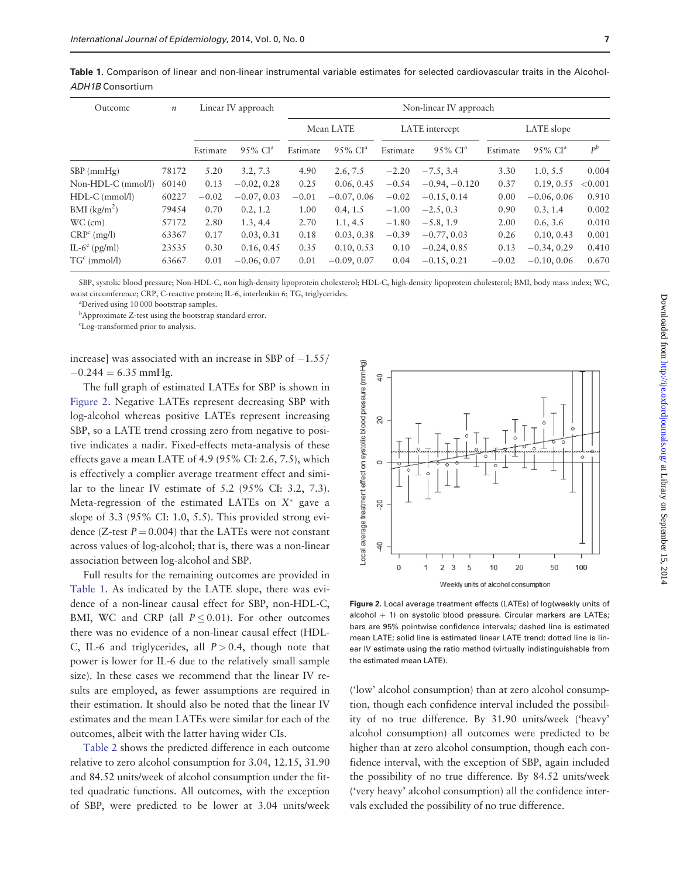| Outcome                    | $\boldsymbol{n}$ | Linear IV approach |                        | Non-linear IV approach |                        |                |                        |            |                        |             |
|----------------------------|------------------|--------------------|------------------------|------------------------|------------------------|----------------|------------------------|------------|------------------------|-------------|
|                            |                  |                    |                        | Mean LATE              |                        | LATE intercept |                        | LATE slope |                        |             |
|                            |                  | Estimate           | $95\%$ CI <sup>a</sup> | Estimate               | $95\%$ CI <sup>a</sup> | Estimate       | $95\%$ CI <sup>a</sup> | Estimate   | $95\%$ CI <sup>a</sup> | $P^{\rm b}$ |
| $SBP$ (mm $Hg$ )           | 78172            | 5.20               | 3.2, 7.3               | 4.90                   | 2.6, 7.5               | $-2.20$        | $-7.5, 3.4$            | 3.30       | 1.0, 5.5               | 0.004       |
| Non-HDL-C (mmol/l)         | 60140            | 0.13               | $-0.02, 0.28$          | 0.25                   | 0.06, 0.45             | $-0.54$        | $-0.94, -0.120$        | 0.37       | 0.19, 0.55             | < 0.001     |
| $HDL-C$ (mmol/l)           | 60227            | $-0.02$            | $-0.07, 0.03$          | $-0.01$                | $-0.07, 0.06$          | $-0.02$        | $-0.15, 0.14$          | 0.00       | $-0.06, 0.06$          | 0.910       |
| $BMI$ (kg/m <sup>2</sup> ) | 79454            | 0.70               | 0.2, 1.2               | 1.00                   | 0.4, 1.5               | $-1.00$        | $-2.5, 0.3$            | 0.90       | 0.3, 1.4               | 0.002       |
| $WC$ (cm)                  | 57172            | 2.80               | 1.3, 4.4               | 2.70                   | 1.1, 4.5               | $-1.80$        | $-5.8, 1.9$            | 2.00       | 0.6, 3.6               | 0.010       |
| $CRPc$ (mg/l)              | 63367            | 0.17               | 0.03, 0.31             | 0.18                   | 0.03, 0.38             | $-0.39$        | $-0.77, 0.03$          | 0.26       | 0.10, 0.43             | 0.001       |
| IL- $6^{\circ}$ (pg/ml)    | 23535            | 0.30               | 0.16, 0.45             | 0.35                   | 0.10, 0.53             | 0.10           | $-0.24, 0.85$          | 0.13       | $-0.34, 0.29$          | 0.410       |
| $TGc$ (mmol/l)             | 63667            | 0.01               | $-0.06, 0.07$          | 0.01                   | $-0.09, 0.07$          | 0.04           | $-0.15, 0.21$          | $-0.02$    | $-0.10, 0.06$          | 0.670       |

<span id="page-6-0"></span>Table 1. Comparison of linear and non-linear instrumental variable estimates for selected cardiovascular traits in the Alcohol-ADH1B Consortium

SBP, systolic blood pressure; Non-HDL-C, non high-density lipoprotein cholesterol; HDL-C, high-density lipoprotein cholesterol; BMI, body mass index; WC, waist circumference; CRP, C-reactive protein; IL-6, interleukin 6; TG, triglycerides.

a Derived using 10 000 bootstrap samples.

<sup>b</sup>Approximate Z-test using the bootstrap standard error.

c Log-transformed prior to analysis.

increase] was associated with an increase in SBP of  $-1.55/$  $-0.244 = 6.35$  mmHg.

The full graph of estimated LATEs for SBP is shown in Figure 2. Negative LATEs represent decreasing SBP with log-alcohol whereas positive LATEs represent increasing SBP, so a LATE trend crossing zero from negative to positive indicates a nadir. Fixed-effects meta-analysis of these effects gave a mean LATE of 4.9 (95% CI: 2.6, 7.5), which is effectively a complier average treatment effect and similar to the linear IV estimate of 5.2 (95% CI: 3.2, 7.3). Meta-regression of the estimated LATEs on  $X^*$  gave a slope of 3.3 (95% CI: 1.0, 5.5). This provided strong evidence (Z-test  $P = 0.004$ ) that the LATEs were not constant across values of log-alcohol; that is, there was a non-linear association between log-alcohol and SBP.

Full results for the remaining outcomes are provided in Table 1. As indicated by the LATE slope, there was evidence of a non-linear causal effect for SBP, non-HDL-C, BMI, WC and CRP (all  $P \le 0.01$ ). For other outcomes there was no evidence of a non-linear causal effect (HDL-C, IL-6 and triglycerides, all  $P > 0.4$ , though note that power is lower for IL-6 due to the relatively small sample size). In these cases we recommend that the linear IV results are employed, as fewer assumptions are required in their estimation. It should also be noted that the linear IV estimates and the mean LATEs were similar for each of the outcomes, albeit with the latter having wider CIs.

[Table 2](#page-7-0) shows the predicted difference in each outcome relative to zero alcohol consumption for 3.04, 12.15, 31.90 and 84.52 units/week of alcohol consumption under the fitted quadratic functions. All outcomes, with the exception of SBP, were predicted to be lower at 3.04 units/week



Figure 2. Local average treatment effects (LATEs) of log(weekly units of alcohol  $+$  1) on systolic blood pressure. Circular markers are LATEs; bars are 95% pointwise confidence intervals; dashed line is estimated mean LATE; solid line is estimated linear LATE trend; dotted line is linear IV estimate using the ratio method (virtually indistinguishable from the estimated mean LATE).

('low' alcohol consumption) than at zero alcohol consumption, though each confidence interval included the possibility of no true difference. By 31.90 units/week ('heavy' alcohol consumption) all outcomes were predicted to be higher than at zero alcohol consumption, though each confidence interval, with the exception of SBP, again included the possibility of no true difference. By 84.52 units/week ('very heavy' alcohol consumption) all the confidence intervals excluded the possibility of no true difference.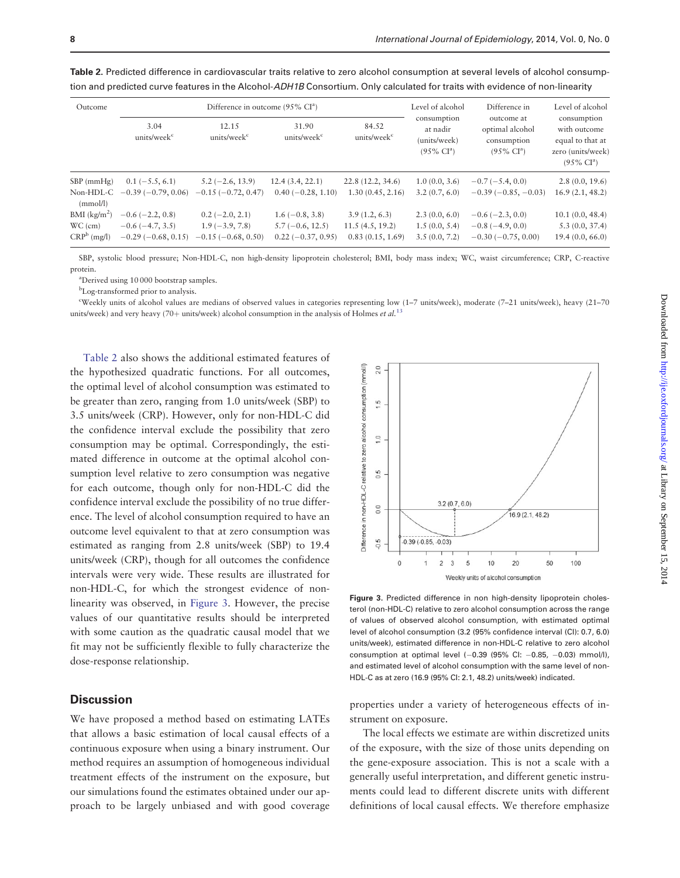| Outcome                  |                                 | Difference in outcome (95% CI <sup>a</sup> ) |                                  | Level of alcohol                 | Difference in                                                      | Level of alcohol                                                               |                                                                                                 |
|--------------------------|---------------------------------|----------------------------------------------|----------------------------------|----------------------------------|--------------------------------------------------------------------|--------------------------------------------------------------------------------|-------------------------------------------------------------------------------------------------|
|                          | 3.04<br>units/week <sup>c</sup> | 12.15<br>units/week <sup>c</sup>             | 31.90<br>units/week <sup>c</sup> | 84.52<br>units/week <sup>c</sup> | consumption<br>at nadir<br>(units/week)<br>$(95\% \text{ CI}^{a})$ | outcome at<br>optimal alcohol<br>consumption<br>$(95\% \text{ CI}^{\text{a}})$ | consumption<br>with outcome<br>equal to that at<br>zero (units/week)<br>$(95\% \text{ CI}^{a})$ |
| $SBP$ (mm $Hg$ )         | $0.1 (-5.5, 6.1)$               | $5.2(-2.6, 13.9)$                            | 12.4(3.4, 22.1)                  | 22.8(12.2, 34.6)                 | 1.0(0.0, 3.6)                                                      | $-0.7(-5.4, 0.0)$                                                              | 2.8(0.0, 19.6)                                                                                  |
| Non-HDL-C<br>(mmol/l)    | $-0.39(-0.79, 0.06)$            | $-0.15(-0.72, 0.47)$                         | $0.40 (-0.28, 1.10)$             | 1.30(0.45, 2.16)                 | 3.2(0.7, 6.0)                                                      | $-0.39(-0.85, -0.03)$                                                          | 16.9(2.1, 48.2)                                                                                 |
| BMI (kg/m <sup>2</sup> ) | $-0.6$ ( $-2.2$ , 0.8)          | $0.2 (-2.0, 2.1)$                            | $1.6(-0.8, 3.8)$                 | 3.9(1.2, 6.3)                    | 2.3(0.0, 6.0)                                                      | $-0.6$ ( $-2.3$ , 0.0)                                                         | 10.1(0.0, 48.4)                                                                                 |
| $WC$ (cm)                | $-0.6(-4.7, 3.5)$               | $1.9(-3.9, 7.8)$                             | $5.7(-0.6, 12.5)$                | 11.5(4.5, 19.2)                  | 1.5(0.0, 5.4)                                                      | $-0.8$ ( $-4.9$ , 0.0)                                                         | 5.3(0.0, 37.4)                                                                                  |
| $CRPb$ (mg/l)            | $-0.29(-0.68, 0.15)$            | $-0.15(-0.68, 0.50)$                         | $0.22(-0.37, 0.95)$              | 0.83(0.15, 1.69)                 | 3.5(0.0, 7.2)                                                      | $-0.30(-0.75, 0.00)$                                                           | 19.4(0.0, 66.0)                                                                                 |

<span id="page-7-0"></span>Table 2. Predicted difference in cardiovascular traits relative to zero alcohol consumption at several levels of alcohol consumption and predicted curve features in the Alcohol-ADH1B Consortium. Only calculated for traits with evidence of non-linearity

SBP, systolic blood pressure; Non-HDL-C, non high-density lipoprotein cholesterol; BMI, body mass index; WC, waist circumference; CRP, C-reactive protein.

a Derived using 10 000 bootstrap samples.

<sup>b</sup>Log-transformed prior to analysis.

c Weekly units of alcohol values are medians of observed values in categories representing low (1–7 units/week), moderate (7–21 units/week), heavy (21–70 units/week) and very heavy (70+ units/week) alcohol consumption in the analysis of Holmes et al.<sup>[13](#page-9-0)</sup>

Table 2 also shows the additional estimated features of the hypothesized quadratic functions. For all outcomes, the optimal level of alcohol consumption was estimated to be greater than zero, ranging from 1.0 units/week (SBP) to 3.5 units/week (CRP). However, only for non-HDL-C did the confidence interval exclude the possibility that zero consumption may be optimal. Correspondingly, the estimated difference in outcome at the optimal alcohol consumption level relative to zero consumption was negative for each outcome, though only for non-HDL-C did the confidence interval exclude the possibility of no true difference. The level of alcohol consumption required to have an outcome level equivalent to that at zero consumption was estimated as ranging from 2.8 units/week (SBP) to 19.4 units/week (CRP), though for all outcomes the confidence intervals were very wide. These results are illustrated for non-HDL-C, for which the strongest evidence of nonlinearity was observed, in Figure 3. However, the precise values of our quantitative results should be interpreted with some caution as the quadratic causal model that we fit may not be sufficiently flexible to fully characterize the dose-response relationship.

## **Discussion**

We have proposed a method based on estimating LATEs that allows a basic estimation of local causal effects of a continuous exposure when using a binary instrument. Our method requires an assumption of homogeneous individual treatment effects of the instrument on the exposure, but our simulations found the estimates obtained under our approach to be largely unbiased and with good coverage



Figure 3. Predicted difference in non high-density lipoprotein cholesterol (non-HDL-C) relative to zero alcohol consumption across the range of values of observed alcohol consumption, with estimated optimal level of alcohol consumption (3.2 (95% confidence interval (CI): 0.7, 6.0) units/week), estimated difference in non-HDL-C relative to zero alcohol consumption at optimal level  $(-0.39 \, (95\% \, \text{Cl: } -0.85, \, -0.03) \, \text{mmol/l)}$ , and estimated level of alcohol consumption with the same level of non-HDL-C as at zero (16.9 (95% CI: 2.1, 48.2) units/week) indicated.

properties under a variety of heterogeneous effects of instrument on exposure.

The local effects we estimate are within discretized units of the exposure, with the size of those units depending on the gene-exposure association. This is not a scale with a generally useful interpretation, and different genetic instruments could lead to different discrete units with different definitions of local causal effects. We therefore emphasize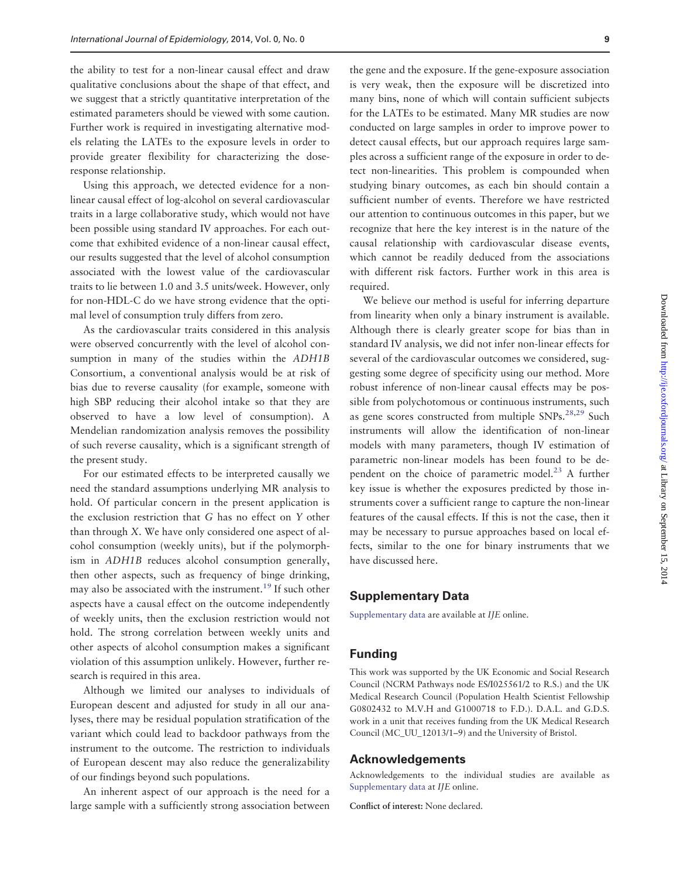the ability to test for a non-linear causal effect and draw qualitative conclusions about the shape of that effect, and we suggest that a strictly quantitative interpretation of the estimated parameters should be viewed with some caution. Further work is required in investigating alternative models relating the LATEs to the exposure levels in order to provide greater flexibility for characterizing the doseresponse relationship.

Using this approach, we detected evidence for a nonlinear causal effect of log-alcohol on several cardiovascular traits in a large collaborative study, which would not have been possible using standard IV approaches. For each outcome that exhibited evidence of a non-linear causal effect, our results suggested that the level of alcohol consumption associated with the lowest value of the cardiovascular traits to lie between 1.0 and 3.5 units/week. However, only for non-HDL-C do we have strong evidence that the optimal level of consumption truly differs from zero.

As the cardiovascular traits considered in this analysis were observed concurrently with the level of alcohol consumption in many of the studies within the ADH1B Consortium, a conventional analysis would be at risk of bias due to reverse causality (for example, someone with high SBP reducing their alcohol intake so that they are observed to have a low level of consumption). A Mendelian randomization analysis removes the possibility of such reverse causality, which is a significant strength of the present study.

For our estimated effects to be interpreted causally we need the standard assumptions underlying MR analysis to hold. Of particular concern in the present application is the exclusion restriction that G has no effect on Y other than through X. We have only considered one aspect of alcohol consumption (weekly units), but if the polymorphism in ADH1B reduces alcohol consumption generally, then other aspects, such as frequency of binge drinking, may also be associated with the instrument.<sup>[19](#page-9-0)</sup> If such other aspects have a causal effect on the outcome independently of weekly units, then the exclusion restriction would not hold. The strong correlation between weekly units and other aspects of alcohol consumption makes a significant violation of this assumption unlikely. However, further research is required in this area.

Although we limited our analyses to individuals of European descent and adjusted for study in all our analyses, there may be residual population stratification of the variant which could lead to backdoor pathways from the instrument to the outcome. The restriction to individuals of European descent may also reduce the generalizability of our findings beyond such populations.

An inherent aspect of our approach is the need for a large sample with a sufficiently strong association between

the gene and the exposure. If the gene-exposure association is very weak, then the exposure will be discretized into many bins, none of which will contain sufficient subjects for the LATEs to be estimated. Many MR studies are now conducted on large samples in order to improve power to detect causal effects, but our approach requires large samples across a sufficient range of the exposure in order to detect non-linearities. This problem is compounded when studying binary outcomes, as each bin should contain a sufficient number of events. Therefore we have restricted our attention to continuous outcomes in this paper, but we recognize that here the key interest is in the nature of the causal relationship with cardiovascular disease events, which cannot be readily deduced from the associations with different risk factors. Further work in this area is required.

We believe our method is useful for inferring departure from linearity when only a binary instrument is available. Although there is clearly greater scope for bias than in standard IV analysis, we did not infer non-linear effects for several of the cardiovascular outcomes we considered, suggesting some degree of specificity using our method. More robust inference of non-linear causal effects may be possible from polychotomous or continuous instruments, such as gene scores constructed from multiple SNPs.<sup>28,29</sup> Such instruments will allow the identification of non-linear models with many parameters, though IV estimation of parametric non-linear models has been found to be de-pendent on the choice of parametric model.<sup>[23](#page-9-0)</sup> A further key issue is whether the exposures predicted by those instruments cover a sufficient range to capture the non-linear features of the causal effects. If this is not the case, then it may be necessary to pursue approaches based on local effects, similar to the one for binary instruments that we have discussed here.

#### Supplementary Data

[Supplementary data](http://ije.oxfordjournals.org/lookup/suppl/doi:10.1093/ije/dyu187/-/DC1) are available at IJE online.

## Funding

This work was supported by the UK Economic and Social Research Council (NCRM Pathways node ES/I025561/2 to R.S.) and the UK Medical Research Council (Population Health Scientist Fellowship G0802432 to M.V.H and G1000718 to F.D.). D.A.L. and G.D.S. work in a unit that receives funding from the UK Medical Research Council (MC\_UU\_12013/1–9) and the University of Bristol.

#### Acknowledgements

Acknowledgements to the individual studies are available as [Supplementary data](http://ije.oxfordjournals.org/lookup/suppl/doi:10.1093/ije/dyu187/-/DC1) at IJE online.

Conflict of interest: None declared.